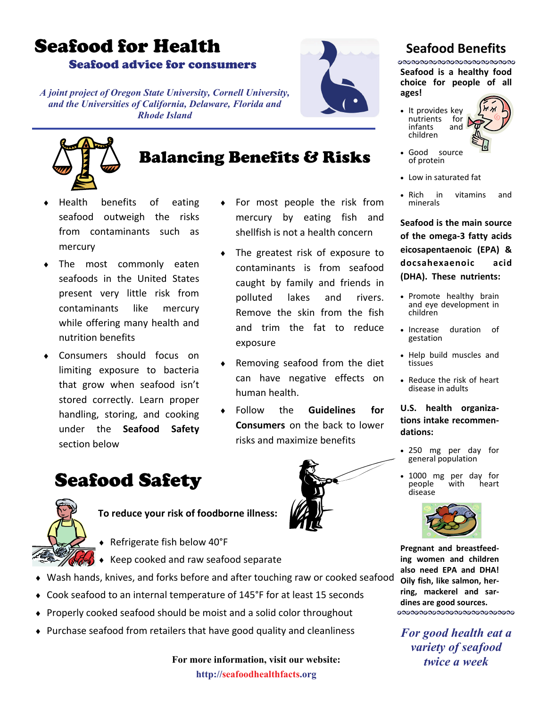# Seafood for Health

Seafood advice for consumers

*A joint project of Oregon State University, Cornell University, and the Universities of California, Delaware, Florida and Rhode Island* 



### Balancing Benefits & Risks

exposure

human health.

For most people the risk from mercury by eating fish and shellfish is not a health concern

♦ The greatest risk of exposure to contaminants is from seafood caught by family and friends in polluted lakes and rivers. Remove the skin from the fish and trim the fat to reduce

Removing seafood from the diet can have negative effects on

**Follow** the **Guidelines for Consumers** on the back to lower

risks and maximize benefits

- Health benefits of eating seafood outweigh the risks from contaminants such as mercury
- The most commonly eaten seafoods in the United States present very little risk from contaminants like mercury while offering many health and nutrition benefits
- ♦ Consumers should focus on limiting exposure to bacteria that grow when seafood isn't stored correctly. Learn proper handling, storing, and cooking under the **Seafood Safety** section below

## Seafood Safety



**To reduce your risk of foodborne illness:** 

- ♦ Refrigerate fish below 40°F
- ♦ Keep cooked and raw seafood separate
- ♦ Wash hands, knives, and forks before and after touching raw or cooked seafood
- ♦ Cook seafood to an internal temperature of 145°F for at least 15 seconds
- ♦ Properly cooked seafood should be moist and a solid color throughout
- ♦ Purchase seafood from retailers that have good quality and cleanliness

**For more information, visit our website: http://seafoodhealthfacts.org** 

### **Seafood Benefits**

**ಲಾಲಾಲಾಯಾಲಾಯಾಲಾಯಾಲಾಯಾ Seafood is a healthy food choice for people of all ages!**

• It provides key nutrients for<br>infants and infants children



- Good source of protein
- Low in saturated fat
- Rich in vitamins and minerals

**Seafood is the main source of the omega‐3 fatty acids eicosapentaenoic (EPA) & docsahexaenoic acid (DHA). These nutrients:**

- Promote healthy brain and eye development in children
- Increase duration of gestation
- Help build muscles and tissues
- Reduce the risk of heart disease in adults

#### **U.S. health organiza‐ tions intake recommen‐ dations:**

- <sup>250</sup> mg per day for general population
- 1000 mg per day for people<br>disease



**Pregnant and breastfeed‐ ing women and children also need EPA and DHA! Oily fish, like salmon, her‐ ring, mackerel and sar‐ dines are good sources.** 

*For good health eat a variety of seafood twice a week*